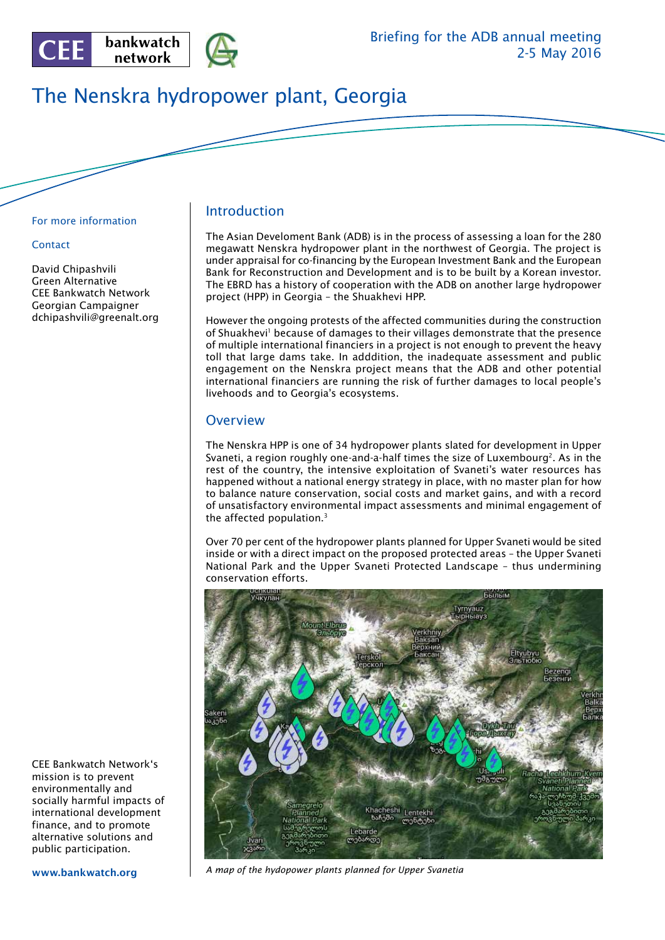

# The Nenskra hydropower plant, Georgia

#### For more information

#### **Contact**

David Chipashvili Green Alternative CEE Bankwatch Network Georgian Campaigner dchipashvili@greenalt.org **Introduction** 

The Asian Develoment Bank (ADB) is in the process of assessing a loan for the 280 megawatt Nenskra hydropower plant in the northwest of Georgia. The project is under appraisal for co-financing by the European Investment Bank and the European Bank for Reconstruction and Development and is to be built by a Korean investor. The EBRD has a history of cooperation with the ADB on another large hydropower project (HPP) in Georgia – the Shuakhevi HPP.

However the ongoing protests of the affected communities during the construction of Shuakhevi<sup>1</sup> because of damages to their villages demonstrate that the presence of multiple international financiers in a project is not enough to prevent the heavy toll that large dams take. In adddition, the inadequate assessment and public engagement on the Nenskra project means that the ADB and other potential international financiers are running the risk of further damages to local people's livehoods and to Georgia's ecosystems.

#### **Overview**

The Nenskra HPP is one of 34 hydropower plants slated for development in Upper Svaneti, a region roughly one-and-a-half times the size of Luxembourg<sup>2</sup>. As in the rest of the country, the intensive exploitation of Svaneti's water resources has happened without a national energy strategy in place, with no master plan for how to balance nature conservation, social costs and market gains, and with a record of unsatisfactory environmental impact assessments and minimal engagement of the affected population.3

Over 70 per cent of the hydropower plants planned for Upper Svaneti would be sited inside or with a direct impact on the proposed protected areas – the Upper Svaneti National Park and the Upper Svaneti Protected Landscape – thus undermining conservation efforts.



*A map of the hydopower plants planned for Upper Svanetia*

CEE Bankwatch Network's mission is to prevent environmentally and socially harmful impacts of international development finance, and to promote alternative solutions and public participation.

www.bankwatch.org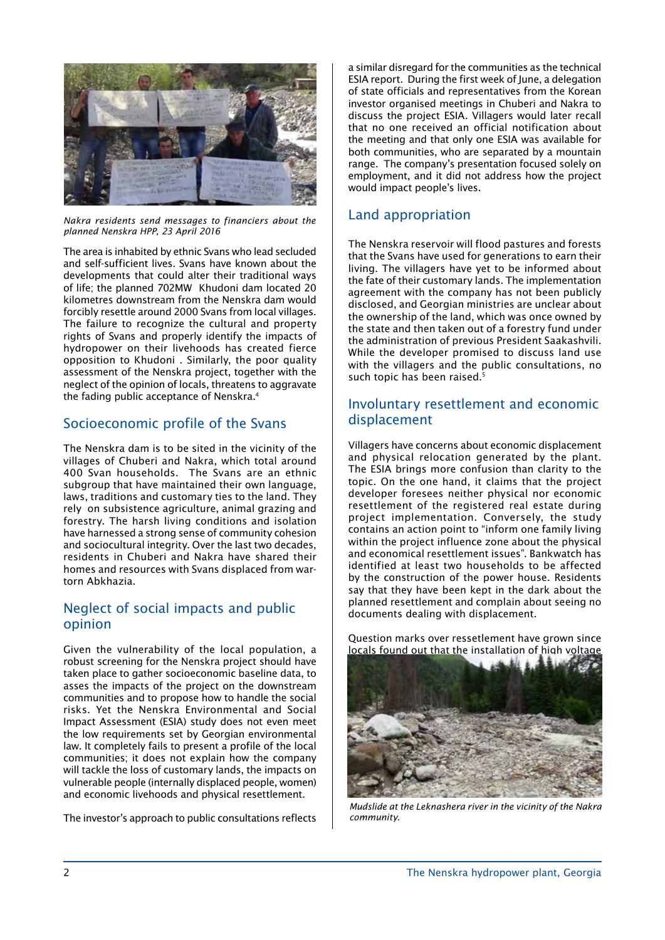

*Nakra residents send messages to financiers about the planned Nenskra HPP, 23 April 2016*

The area is inhabited by ethnic Svans who lead secluded and self-sufficient lives. Svans have known about the developments that could alter their traditional ways of life; the planned 702MW Khudoni dam located 20 kilometres downstream from the Nenskra dam would forcibly resettle around 2000 Svans from local villages. The failure to recognize the cultural and property rights of Svans and properly identify the impacts of hydropower on their livehoods has created fierce opposition to Khudoni . Similarly, the poor quality assessment of the Nenskra project, together with the neglect of the opinion of locals, threatens to aggravate the fading public acceptance of Nenskra.4

## Socioeconomic profile of the Svans

The Nenskra dam is to be sited in the vicinity of the villages of Chuberi and Nakra, which total around 400 Svan households. The Svans are an ethnic subgroup that have maintained their own language, laws, traditions and customary ties to the land. They rely on subsistence agriculture, animal grazing and forestry. The harsh living conditions and isolation have harnessed a strong sense of community cohesion and sociocultural integrity. Over the last two decades, residents in Chuberi and Nakra have shared their homes and resources with Svans displaced from wartorn Abkhazia.

## Neglect of social impacts and public opinion

Given the vulnerability of the local population, a robust screening for the Nenskra project should have taken place to gather socioeconomic baseline data, to asses the impacts of the project on the downstream communities and to propose how to handle the social risks. Yet the Nenskra Environmental and Social Impact Assessment (ESIA) study does not even meet the low requirements set by Georgian environmental law. It completely fails to present a profile of the local communities; it does not explain how the company will tackle the loss of customary lands, the impacts on vulnerable people (internally displaced people, women) and economic livehoods and physical resettlement.

The investor's approach to public consultations reflects

a similar disregard for the communities as the technical ESIA report. During the first week of June, a delegation of state officials and representatives from the Korean investor organised meetings in Chuberi and Nakra to discuss the project ESIA. Villagers would later recall that no one received an official notification about the meeting and that only one ESIA was available for both communities, who are separated by a mountain range. The company's presentation focused solely on employment, and it did not address how the project would impact people's lives.

#### Land appropriation

The Nenskra reservoir will flood pastures and forests that the Svans have used for generations to earn their living. The villagers have yet to be informed about the fate of their customary lands. The implementation agreement with the company has not been publicly disclosed, and Georgian ministries are unclear about the ownership of the land, which was once owned by the state and then taken out of a forestry fund under the administration of previous President Saakashvili. While the developer promised to discuss land use with the villagers and the public consultations, no such topic has been raised.<sup>5</sup>

## Involuntary resettlement and economic displacement

Villagers have concerns about economic displacement and physical relocation generated by the plant. The ESIA brings more confusion than clarity to the topic. On the one hand, it claims that the project developer foresees neither physical nor economic resettlement of the registered real estate during project implementation. Conversely, the study contains an action point to "inform one family living within the project influence zone about the physical and economical resettlement issues". Bankwatch has identified at least two households to be affected by the construction of the power house. Residents say that they have been kept in the dark about the planned resettlement and complain about seeing no documents dealing with displacement.

Question marks over ressetlement have grown since locals found out that the installation of high voltage



*Mudslide at the Leknashera river in the vicinity of the Nakra community.*